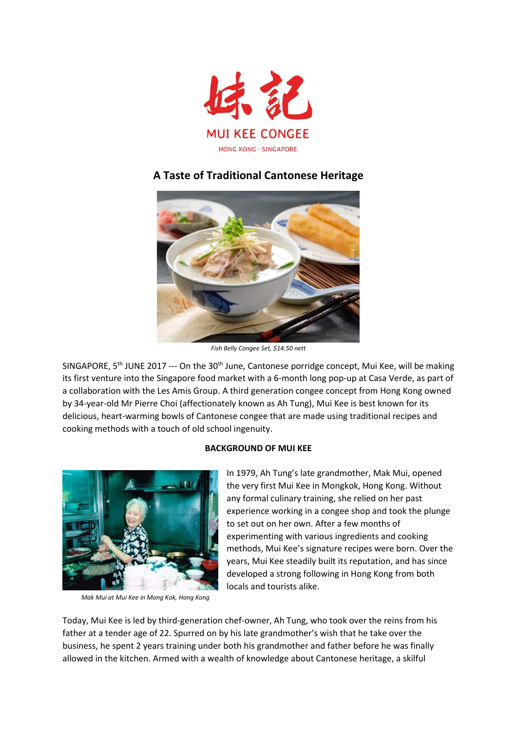

# **A Taste of Traditional Cantonese Heritage**



*Fish Belly Congee Set, \$14.50 nett*

SINGAPORE,  $5<sup>th</sup>$  JUNE 2017 --- On the 30<sup>th</sup> June, Cantonese porridge concept, Mui Kee, will be making its first venture into the Singapore food market with a 6-month long pop-up at Casa Verde, as part of a collaboration with the Les Amis Group. A third generation congee concept from Hong Kong owned by 34-year-old Mr Pierre Choi (affectionately known as Ah Tung), Mui Kee is best known for its delicious, heart-warming bowls of Cantonese congee that are made using traditional recipes and cooking methods with a touch of old school ingenuity.

# **BACKGROUND OF MUI KEE**



 *Mak Mui at Mui Kee in Mong Kok, Hong Kong*

In 1979, Ah Tung's late grandmother, Mak Mui, opened the very first Mui Kee in Mongkok, Hong Kong. Without any formal culinary training, she relied on her past experience working in a congee shop and took the plunge to set out on her own. After a few months of experimenting with various ingredients and cooking methods, Mui Kee's signature recipes were born. Over the years, Mui Kee steadily built its reputation, and has since developed a strong following in Hong Kong from both locals and tourists alike.

Today, Mui Kee is led by third-generation chef-owner, Ah Tung, who took over the reins from his father at a tender age of 22. Spurred on by his late grandmother's wish that he take over the business, he spent 2 years training under both his grandmother and father before he was finally allowed in the kitchen. Armed with a wealth of knowledge about Cantonese heritage, a skilful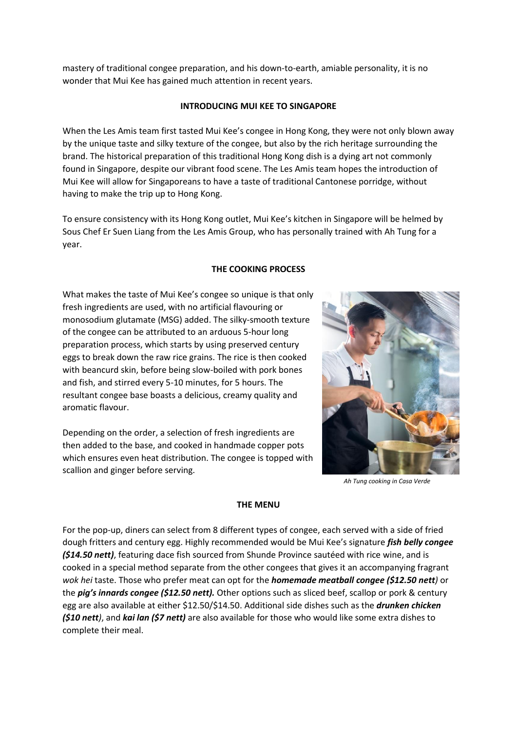mastery of traditional congee preparation, and his down-to-earth, amiable personality, it is no wonder that Mui Kee has gained much attention in recent years.

## **INTRODUCING MUI KEE TO SINGAPORE**

When the Les Amis team first tasted Mui Kee's congee in Hong Kong, they were not only blown away by the unique taste and silky texture of the congee, but also by the rich heritage surrounding the brand. The historical preparation of this traditional Hong Kong dish is a dying art not commonly found in Singapore, despite our vibrant food scene. The Les Amis team hopes the introduction of Mui Kee will allow for Singaporeans to have a taste of traditional Cantonese porridge, without having to make the trip up to Hong Kong.

To ensure consistency with its Hong Kong outlet, Mui Kee's kitchen in Singapore will be helmed by Sous Chef Er Suen Liang from the Les Amis Group, who has personally trained with Ah Tung for a year.

# **THE COOKING PROCESS**

What makes the taste of Mui Kee's congee so unique is that only fresh ingredients are used, with no artificial flavouring or monosodium glutamate (MSG) added. The silky-smooth texture of the congee can be attributed to an arduous 5-hour long preparation process, which starts by using preserved century eggs to break down the raw rice grains. The rice is then cooked with beancurd skin, before being slow-boiled with pork bones and fish, and stirred every 5-10 minutes, for 5 hours. The resultant congee base boasts a delicious, creamy quality and aromatic flavour.

Depending on the order, a selection of fresh ingredients are then added to the base, and cooked in handmade copper pots which ensures even heat distribution. The congee is topped with scallion and ginger before serving.



*Ah Tung cooking in Casa Verde*

#### **THE MENU**

For the pop-up, diners can select from 8 different types of congee, each served with a side of fried dough fritters and century egg. Highly recommended would be Mui Kee's signature *fish belly congee (\$14.50 nett)*, featuring dace fish sourced from Shunde Province sautéed with rice wine, and is cooked in a special method separate from the other congees that gives it an accompanying fragrant *wok hei* taste. Those who prefer meat can opt for the *homemade meatball congee (\$12.50 nett)* or the *pig's innards congee (\$12.50 nett).* Other options such as sliced beef, scallop or pork & century egg are also available at either \$12.50/\$14.50. Additional side dishes such as the *drunken chicken (\$10 nett)*, and *kai lan (\$7 nett)* are also available for those who would like some extra dishes to complete their meal.